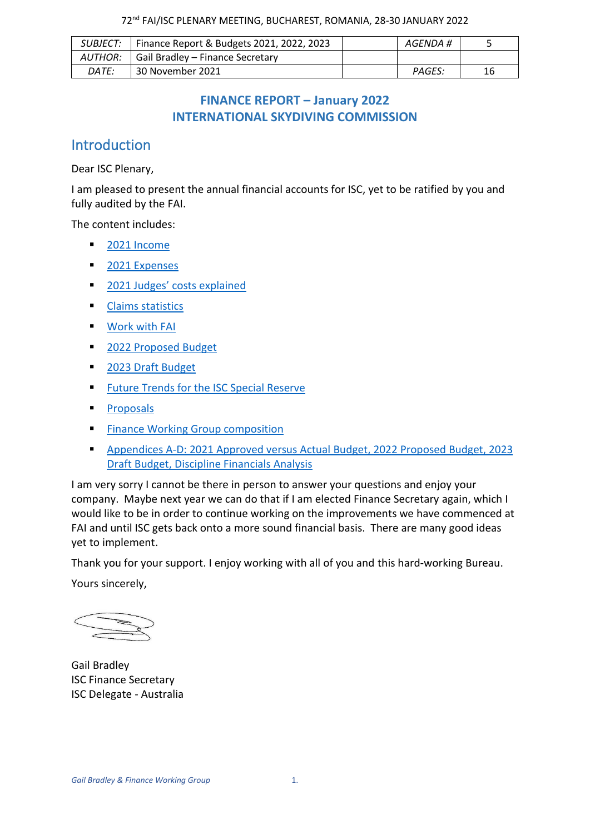|              | SUBJECT:   Finance Report & Budgets 2021, 2022, 2023 | AGENDA # |    |
|--------------|------------------------------------------------------|----------|----|
|              | AUTHOR:   Gail Bradley – Finance Secretary           |          |    |
| <i>DATE:</i> | 30 November 2021                                     | PAGES:   | 16 |

## **FINANCE REPORT – January 2022 INTERNATIONAL SKYDIVING COMMISSION**

## Introduction

Dear ISC Plenary,

I am pleased to present the annual financial accounts for ISC, yet to be ratified by you and fully audited by the FAI.

The content includes:

- [2021 Income](#page-1-0)
- [2021 Expenses](#page-2-0)
- [2021 Judges' costs explained](#page-2-1)
- **Claims [statistics](#page-4-0)**
- [Work with FAI](#page-5-0)
- [2022 Proposed](#page-6-0) Budget
- [2023 Draft Budget](#page-7-0)
- [Future Trends for the ISC Special Reserve](#page-7-1)
- [Proposals](#page-9-0)
- [Finance Working Group composition](#page-10-0)
- Appendices A-D: 2021 Approved versus Actual [Budget, 2022 Proposed Budget, 2023](#page-11-0)  [Draft Budget, Discipline Financials Analysis](#page-11-0)

I am very sorry I cannot be there in person to answer your questions and enjoy your company. Maybe next year we can do that if I am elected Finance Secretary again, which I would like to be in order to continue working on the improvements we have commenced at FAI and until ISC gets back onto a more sound financial basis. There are many good ideas yet to implement.

Thank you for your support. I enjoy working with all of you and this hard-working Bureau.

Yours sincerely,

Gail Bradley ISC Finance Secretary ISC Delegate - Australia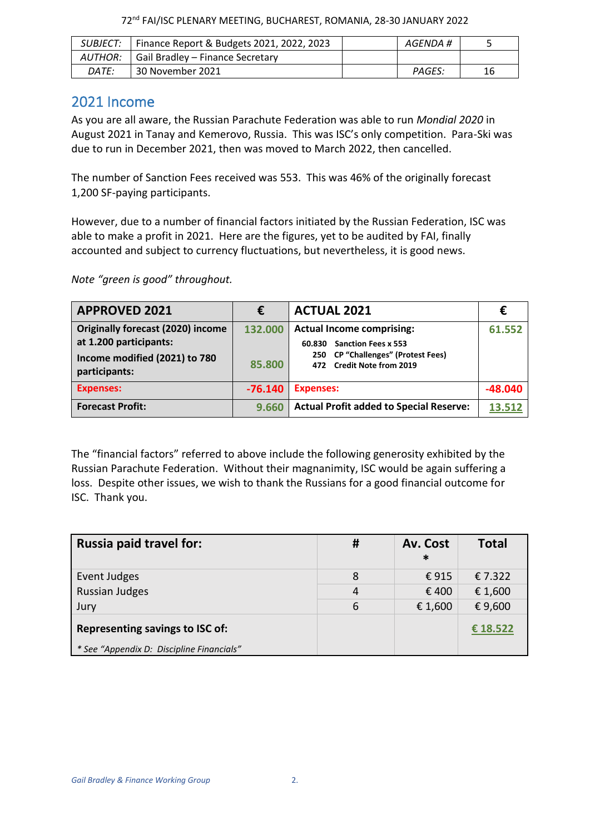| 72 <sup>nd</sup> FAI/ISC PLENARY MEETING, BUCHAREST, ROMANIA, 28-30 JANUARY 2022 |  |  |  |
|----------------------------------------------------------------------------------|--|--|--|
|----------------------------------------------------------------------------------|--|--|--|

|         | SUBJECT:   Finance Report & Budgets 2021, 2022, 2023 | AGENDA # |    |
|---------|------------------------------------------------------|----------|----|
| AUTHOR: | Gail Bradley - Finance Secretary                     |          |    |
| DATE:   | 30 November 2021                                     | PAGES:   | 16 |

## <span id="page-1-0"></span>2021 Income

As you are all aware, the Russian Parachute Federation was able to run *Mondial 2020* in August 2021 in Tanay and Kemerovo, Russia. This was ISC's only competition. Para-Ski was due to run in December 2021, then was moved to March 2022, then cancelled.

The number of Sanction Fees received was 553. This was 46% of the originally forecast 1,200 SF-paying participants.

However, due to a number of financial factors initiated by the Russian Federation, ISC was able to make a profit in 2021. Here are the figures, yet to be audited by FAI, finally accounted and subject to currency fluctuations, but nevertheless, it is good news.

*Note "green is good" throughout.*

| <b>APPROVED 2021</b>                                                                                                 | €                 | <b>ACTUAL 2021</b>                                                                                                                                    | €         |
|----------------------------------------------------------------------------------------------------------------------|-------------------|-------------------------------------------------------------------------------------------------------------------------------------------------------|-----------|
| <b>Originally forecast (2020) income</b><br>at 1.200 participants:<br>Income modified (2021) to 780<br>participants: | 132.000<br>85.800 | <b>Actual Income comprising:</b><br><b>Sanction Fees x 553</b><br>60.830<br><b>CP "Challenges" (Protest Fees)</b><br>250<br>472 Credit Note from 2019 | 61.552    |
| <b>Expenses:</b>                                                                                                     | $-76.140$         | <b>Expenses:</b>                                                                                                                                      | $-48.040$ |
| <b>Forecast Profit:</b>                                                                                              | 9.660             | <b>Actual Profit added to Special Reserve:</b>                                                                                                        | 13.512    |

The "financial factors" referred to above include the following generosity exhibited by the Russian Parachute Federation. Without their magnanimity, ISC would be again suffering a loss. Despite other issues, we wish to thank the Russians for a good financial outcome for ISC. Thank you.

| <b>Russia paid travel for:</b>            | #              | Av. Cost<br>$\ast$ | <b>Total</b> |
|-------------------------------------------|----------------|--------------------|--------------|
| Event Judges                              | 8              | €915               | € 7.322      |
| <b>Russian Judges</b>                     | $\overline{4}$ | € 400              | € 1,600      |
| Jury                                      | 6              | € 1,600            | € 9,600      |
| Representing savings to ISC of:           |                |                    | € 18.522     |
| * See "Appendix D: Discipline Financials" |                |                    |              |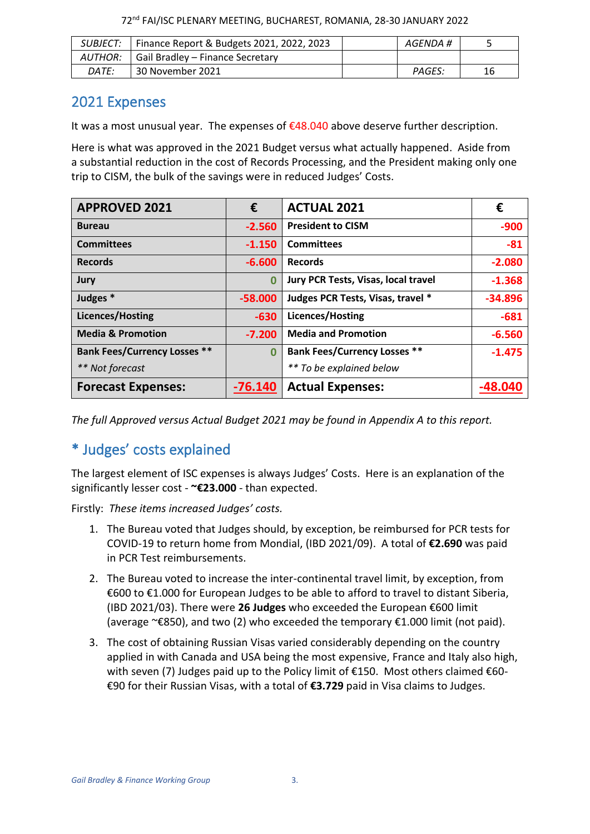| 72 <sup>nd</sup> FAI/ISC PLENARY MEETING, BUCHAREST, ROMANIA, 28-30 JANUARY 2022 |  |  |  |
|----------------------------------------------------------------------------------|--|--|--|
|----------------------------------------------------------------------------------|--|--|--|

|           | SUBJECT:   Finance Report & Budgets 2021, 2022, 2023 | AGENDA # |    |
|-----------|------------------------------------------------------|----------|----|
| AUTHOR: I | Gail Bradley - Finance Secretary                     |          |    |
| DATE:     | 30 November 2021                                     | PAGES:   | 16 |

## <span id="page-2-0"></span>2021 Expenses

It was a most unusual year. The expenses of  $£48.040$  above deserve further description.

Here is what was approved in the 2021 Budget versus what actually happened. Aside from a substantial reduction in the cost of Records Processing, and the President making only one trip to CISM, the bulk of the savings were in reduced Judges' Costs.

| <b>APPROVED 2021</b>                | €         | <b>ACTUAL 2021</b>                  | €         |
|-------------------------------------|-----------|-------------------------------------|-----------|
| <b>Bureau</b>                       | $-2.560$  | <b>President to CISM</b>            | $-900$    |
| <b>Committees</b>                   | $-1.150$  | <b>Committees</b>                   | $-81$     |
| <b>Records</b>                      | $-6.600$  | <b>Records</b>                      | $-2.080$  |
| Jury                                | $\bf{0}$  | Jury PCR Tests, Visas, local travel | $-1.368$  |
| Judges *                            | $-58.000$ | Judges PCR Tests, Visas, travel *   | $-34.896$ |
| <b>Licences/Hosting</b>             | $-630$    | <b>Licences/Hosting</b>             | $-681$    |
| <b>Media &amp; Promotion</b>        | $-7.200$  | <b>Media and Promotion</b>          | $-6.560$  |
| <b>Bank Fees/Currency Losses **</b> | $\Omega$  | <b>Bank Fees/Currency Losses **</b> | $-1.475$  |
| ** Not forecast                     |           | ** To be explained below            |           |
| <b>Forecast Expenses:</b>           | $-76.140$ | <b>Actual Expenses:</b>             |           |

*The full Approved versus Actual Budget 2021 may be found in Appendix A to this report.*

# <span id="page-2-1"></span>\* Judges' costs explained

The largest element of ISC expenses is always Judges' Costs. Here is an explanation of the significantly lesser cost - **~€23.000** - than expected.

Firstly: *These items increased Judges' costs.*

- 1. The Bureau voted that Judges should, by exception, be reimbursed for PCR tests for COVID-19 to return home from Mondial, (IBD 2021/09). A total of **€2.690** was paid in PCR Test reimbursements.
- 2. The Bureau voted to increase the inter-continental travel limit, by exception, from €600 to €1.000 for European Judges to be able to afford to travel to distant Siberia, (IBD 2021/03). There were **26 Judges** who exceeded the European €600 limit (average ~€850), and two (2) who exceeded the temporary €1.000 limit (not paid).
- 3. The cost of obtaining Russian Visas varied considerably depending on the country applied in with Canada and USA being the most expensive, France and Italy also high, with seven (7) Judges paid up to the Policy limit of  $E$ 150. Most others claimed  $E$ 60-€90 for their Russian Visas, with a total of **€3.729** paid in Visa claims to Judges.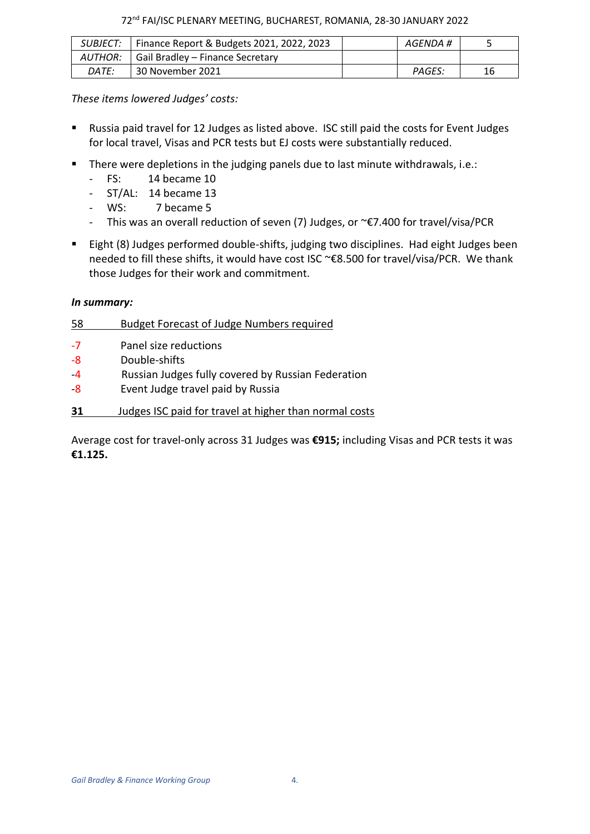#### 72nd FAI/ISC PLENARY MEETING, BUCHAREST, ROMANIA, 28-30 JANUARY 2022

| SUBJECT:     | Finance Report & Budgets 2021, 2022, 2023  | AGENDA # |    |
|--------------|--------------------------------------------|----------|----|
|              | AUTHOR:   Gail Bradley – Finance Secretary |          |    |
| <i>DATE:</i> | 30 November 2021                           | PAGES:   | 16 |

#### *These items lowered Judges' costs:*

- Russia paid travel for 12 Judges as listed above. ISC still paid the costs for Event Judges for local travel, Visas and PCR tests but EJ costs were substantially reduced.
- There were depletions in the judging panels due to last minute withdrawals, i.e.:
	- FS: 14 became 10
	- ST/AL: 14 became 13
	- WS: 7 became 5
	- This was an overall reduction of seven (7) Judges, or ~€7.400 for travel/visa/PCR
- Eight (8) Judges performed double-shifts, judging two disciplines. Had eight Judges been needed to fill these shifts, it would have cost ISC ~€8.500 for travel/visa/PCR. We thank those Judges for their work and commitment.

#### *In summary:*

| 58   | <b>Budget Forecast of Judge Numbers required</b>       |
|------|--------------------------------------------------------|
| -7   | Panel size reductions                                  |
| -8   | Double-shifts                                          |
| $-4$ | Russian Judges fully covered by Russian Federation     |
| -8   | Event Judge travel paid by Russia                      |
| 31   | Judges ISC paid for travel at higher than normal costs |

Average cost for travel-only across 31 Judges was **€915;** including Visas and PCR tests it was **€1.125.**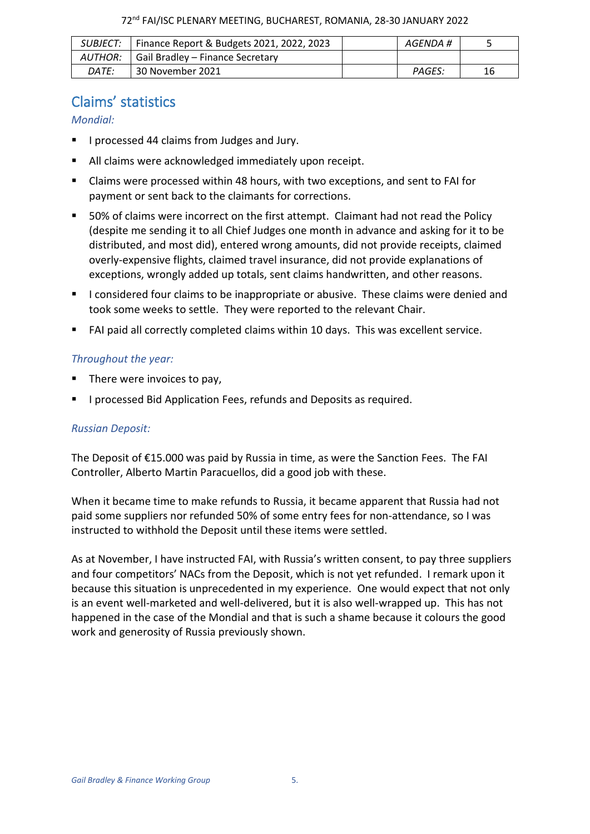|              | SUBJECT:   Finance Report & Budgets 2021, 2022, 2023 | AGENDA # |    |
|--------------|------------------------------------------------------|----------|----|
| AUTHOR: I    | Gail Bradley – Finance Secretary                     |          |    |
| <i>DATE:</i> | 30 November 2021                                     | PAGES:   | 16 |

# <span id="page-4-0"></span>Claims' statistics

### *Mondial:*

- I processed 44 claims from Judges and Jury.
- All claims were acknowledged immediately upon receipt.
- Claims were processed within 48 hours, with two exceptions, and sent to FAI for payment or sent back to the claimants for corrections.
- 50% of claims were incorrect on the first attempt. Claimant had not read the Policy (despite me sending it to all Chief Judges one month in advance and asking for it to be distributed, and most did), entered wrong amounts, did not provide receipts, claimed overly-expensive flights, claimed travel insurance, did not provide explanations of exceptions, wrongly added up totals, sent claims handwritten, and other reasons.
- I considered four claims to be inappropriate or abusive. These claims were denied and took some weeks to settle. They were reported to the relevant Chair.
- FAI paid all correctly completed claims within 10 days. This was excellent service.

### *Throughout the year:*

- There were invoices to pay,
- I processed Bid Application Fees, refunds and Deposits as required.

### *Russian Deposit:*

The Deposit of €15.000 was paid by Russia in time, as were the Sanction Fees. The FAI Controller, Alberto Martin Paracuellos, did a good job with these.

When it became time to make refunds to Russia, it became apparent that Russia had not paid some suppliers nor refunded 50% of some entry fees for non-attendance, so I was instructed to withhold the Deposit until these items were settled.

As at November, I have instructed FAI, with Russia's written consent, to pay three suppliers and four competitors' NACs from the Deposit, which is not yet refunded. I remark upon it because this situation is unprecedented in my experience. One would expect that not only is an event well-marketed and well-delivered, but it is also well-wrapped up. This has not happened in the case of the Mondial and that is such a shame because it colours the good work and generosity of Russia previously shown.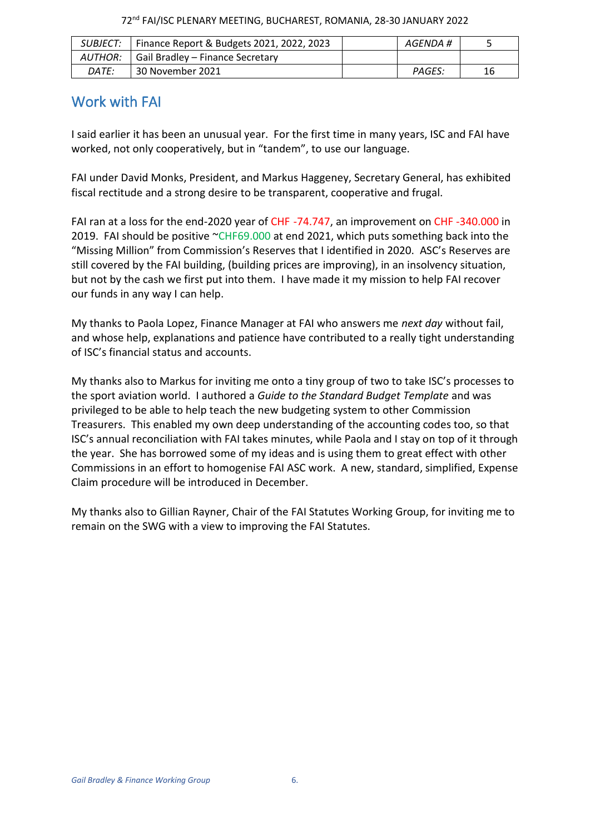| SUBJECT: I   | Finance Report & Budgets 2021, 2022, 2023 | AGENDA # |    |
|--------------|-------------------------------------------|----------|----|
| AUTHOR:      | Gail Bradley - Finance Secretary          |          |    |
| <i>DATE:</i> | 30 November 2021                          | PAGES:   | 16 |

# <span id="page-5-0"></span>Work with FAI

I said earlier it has been an unusual year. For the first time in many years, ISC and FAI have worked, not only cooperatively, but in "tandem", to use our language.

FAI under David Monks, President, and Markus Haggeney, Secretary General, has exhibited fiscal rectitude and a strong desire to be transparent, cooperative and frugal.

FAI ran at a loss for the end-2020 year of CHF -74.747, an improvement on CHF -340.000 in 2019. FAI should be positive  $CHF69.000$  at end 2021, which puts something back into the "Missing Million" from Commission's Reserves that I identified in 2020. ASC's Reserves are still covered by the FAI building, (building prices are improving), in an insolvency situation, but not by the cash we first put into them. I have made it my mission to help FAI recover our funds in any way I can help.

My thanks to Paola Lopez, Finance Manager at FAI who answers me *next day* without fail, and whose help, explanations and patience have contributed to a really tight understanding of ISC's financial status and accounts.

My thanks also to Markus for inviting me onto a tiny group of two to take ISC's processes to the sport aviation world. I authored a *Guide to the Standard Budget Template* and was privileged to be able to help teach the new budgeting system to other Commission Treasurers. This enabled my own deep understanding of the accounting codes too, so that ISC's annual reconciliation with FAI takes minutes, while Paola and I stay on top of it through the year. She has borrowed some of my ideas and is using them to great effect with other Commissions in an effort to homogenise FAI ASC work. A new, standard, simplified, Expense Claim procedure will be introduced in December.

My thanks also to Gillian Rayner, Chair of the FAI Statutes Working Group, for inviting me to remain on the SWG with a view to improving the FAI Statutes.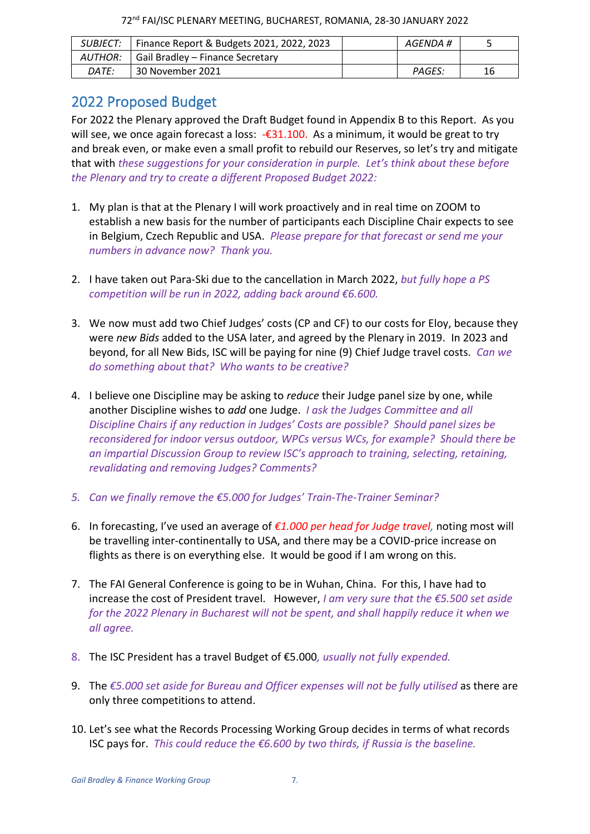|         | SUBJECT:   Finance Report & Budgets 2021, 2022, 2023 | AGENDA # |    |
|---------|------------------------------------------------------|----------|----|
| AUTHOR: | Gail Bradley – Finance Secretary                     |          |    |
| DATE:   | 30 November 2021                                     | PAGES:   | 16 |

## <span id="page-6-0"></span>2022 Proposed Budget

For 2022 the Plenary approved the Draft Budget found in Appendix B to this Report. As you will see, we once again forecast a loss:  $-\epsilon$ 31.100. As a minimum, it would be great to try and break even, or make even a small profit to rebuild our Reserves, so let's try and mitigate that with *these suggestions for your consideration in purple. Let's think about these before the Plenary and try to create a different Proposed Budget 2022:*

- 1. My plan is that at the Plenary I will work proactively and in real time on ZOOM to establish a new basis for the number of participants each Discipline Chair expects to see in Belgium, Czech Republic and USA. *Please prepare for that forecast or send me your numbers in advance now? Thank you.*
- 2. I have taken out Para-Ski due to the cancellation in March 2022, *but fully hope a PS competition will be run in 2022, adding back around €6.600.*
- 3. We now must add two Chief Judges' costs (CP and CF) to our costs for Eloy, because they were *new Bids* added to the USA later, and agreed by the Plenary in 2019. In 2023 and beyond, for all New Bids, ISC will be paying for nine (9) Chief Judge travel costs. *Can we do something about that? Who wants to be creative?*
- 4. I believe one Discipline may be asking to *reduce* their Judge panel size by one, while another Discipline wishes to *add* one Judge. *I ask the Judges Committee and all Discipline Chairs if any reduction in Judges' Costs are possible? Should panel sizes be reconsidered for indoor versus outdoor, WPCs versus WCs, for example? Should there be an impartial Discussion Group to review ISC's approach to training, selecting, retaining, revalidating and removing Judges? Comments?*
- *5. Can we finally remove the €5.000 for Judges' Train-The-Trainer Seminar?*
- 6. In forecasting, I've used an average of *€1.000 per head for Judge travel,* noting most will be travelling inter-continentally to USA, and there may be a COVID-price increase on flights as there is on everything else. It would be good if I am wrong on this.
- 7. The FAI General Conference is going to be in Wuhan, China. For this, I have had to increase the cost of President travel. However, *I am very sure that the €5.500 set aside for the 2022 Plenary in Bucharest will not be spent, and shall happily reduce it when we all agree.*
- 8. The ISC President has a travel Budget of €5.000*, usually not fully expended.*
- 9. The *€5.000 set aside for Bureau and Officer expenses will not be fully utilised* as there are only three competitions to attend.
- 10. Let's see what the Records Processing Working Group decides in terms of what records ISC pays for. *This could reduce the €6.600 by two thirds, if Russia is the baseline.*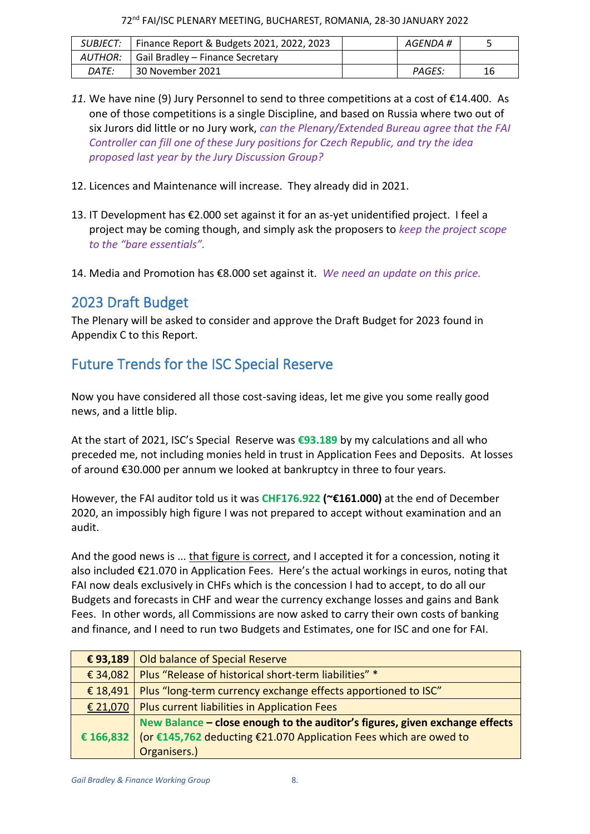72nd FAI/ISC PLENARY MEETING, BUCHAREST, ROMANIA, 28-30 JANUARY 2022

|       | SUBJECT:   Finance Report & Budgets 2021, 2022, 2023 | AGENDA # |    |
|-------|------------------------------------------------------|----------|----|
|       | AUTHOR:   Gail Bradley – Finance Secretary           |          |    |
| DATE: | 30 November 2021                                     | PAGES:   | 16 |

- *11.* We have nine (9) Jury Personnel to send to three competitions at a cost of €14.400. As one of those competitions is a single Discipline, and based on Russia where two out of six Jurors did little or no Jury work, *can the Plenary/Extended Bureau agree that the FAI Controller can fill one of these Jury positions for Czech Republic, and try the idea proposed last year by the Jury Discussion Group?*
- 12. Licences and Maintenance will increase. They already did in 2021.
- 13. IT Development has €2.000 set against it for an as-yet unidentified project. I feel a project may be coming though, and simply ask the proposers to *keep the project scope to the "bare essentials".*
- <span id="page-7-0"></span>14. Media and Promotion has €8.000 set against it. *We need an update on this price.*

# 2023 Draft Budget

The Plenary will be asked to consider and approve the Draft Budget for 2023 found in Appendix C to this Report.

# <span id="page-7-1"></span>Future Trends for the ISC Special Reserve

Now you have considered all those cost-saving ideas, let me give you some really good news, and a little blip.

At the start of 2021, ISC's Special Reserve was **€93.189** by my calculations and all who preceded me, not including monies held in trust in Application Fees and Deposits. At losses of around €30.000 per annum we looked at bankruptcy in three to four years.

However, the FAI auditor told us it was **CHF176.922 (~€161.000)** at the end of December 2020, an impossibly high figure I was not prepared to accept without examination and an audit.

And the good news is ... that figure is correct, and I accepted it for a concession, noting it also included €21.070 in Application Fees. Here's the actual workings in euros, noting that FAI now deals exclusively in CHFs which is the concession I had to accept, to do all our Budgets and forecasts in CHF and wear the currency exchange losses and gains and Bank Fees. In other words, all Commissions are now asked to carry their own costs of banking and finance, and I need to run two Budgets and Estimates, one for ISC and one for FAI.

| €93,189  | Old balance of Special Reserve                                                |
|----------|-------------------------------------------------------------------------------|
| € 34,082 | Plus "Release of historical short-term liabilities" *                         |
| € 18,491 | Plus "long-term currency exchange effects apportioned to ISC"                 |
| € 21,070 | Plus current liabilities in Application Fees                                  |
|          | New Balance - close enough to the auditor's figures, given exchange effects   |
|          | € 166,832   (or €145,762 deducting €21.070 Application Fees which are owed to |
|          | Organisers.)                                                                  |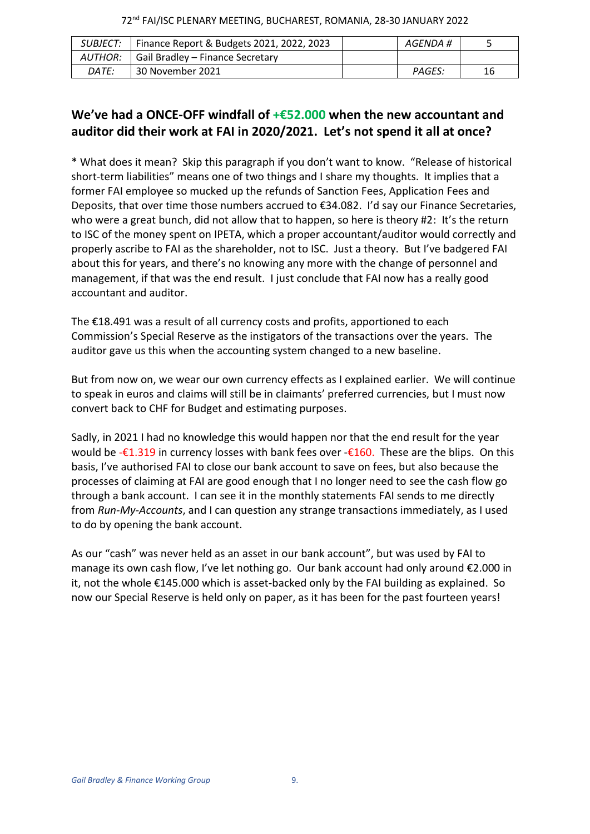|              | SUBJECT:   Finance Report & Budgets 2021, 2022, 2023 | AGENDA # |    |
|--------------|------------------------------------------------------|----------|----|
|              | AUTHOR:   Gail Bradley – Finance Secretary           |          |    |
| <i>DATE:</i> | 30 November 2021                                     | PAGES:   | 16 |

## **We've had a ONCE-OFF windfall of +€52.000 when the new accountant and auditor did their work at FAI in 2020/2021. Let's not spend it all at once?**

\* What does it mean? Skip this paragraph if you don't want to know. "Release of historical short-term liabilities" means one of two things and I share my thoughts. It implies that a former FAI employee so mucked up the refunds of Sanction Fees, Application Fees and Deposits, that over time those numbers accrued to €34.082. I'd say our Finance Secretaries, who were a great bunch, did not allow that to happen, so here is theory #2: It's the return to ISC of the money spent on IPETA, which a proper accountant/auditor would correctly and properly ascribe to FAI as the shareholder, not to ISC. Just a theory. But I've badgered FAI about this for years, and there's no knowing any more with the change of personnel and management, if that was the end result. I just conclude that FAI now has a really good accountant and auditor.

The €18.491 was a result of all currency costs and profits, apportioned to each Commission's Special Reserve as the instigators of the transactions over the years. The auditor gave us this when the accounting system changed to a new baseline.

But from now on, we wear our own currency effects as I explained earlier. We will continue to speak in euros and claims will still be in claimants' preferred currencies, but I must now convert back to CHF for Budget and estimating purposes.

Sadly, in 2021 I had no knowledge this would happen nor that the end result for the year would be - $\epsilon$ 1.319 in currency losses with bank fees over - $\epsilon$ 160. These are the blips. On this basis, I've authorised FAI to close our bank account to save on fees, but also because the processes of claiming at FAI are good enough that I no longer need to see the cash flow go through a bank account. I can see it in the monthly statements FAI sends to me directly from *Run-My-Accounts*, and I can question any strange transactions immediately, as I used to do by opening the bank account.

As our "cash" was never held as an asset in our bank account", but was used by FAI to manage its own cash flow, I've let nothing go. Our bank account had only around €2.000 in it, not the whole €145.000 which is asset-backed only by the FAI building as explained. So now our Special Reserve is held only on paper, as it has been for the past fourteen years!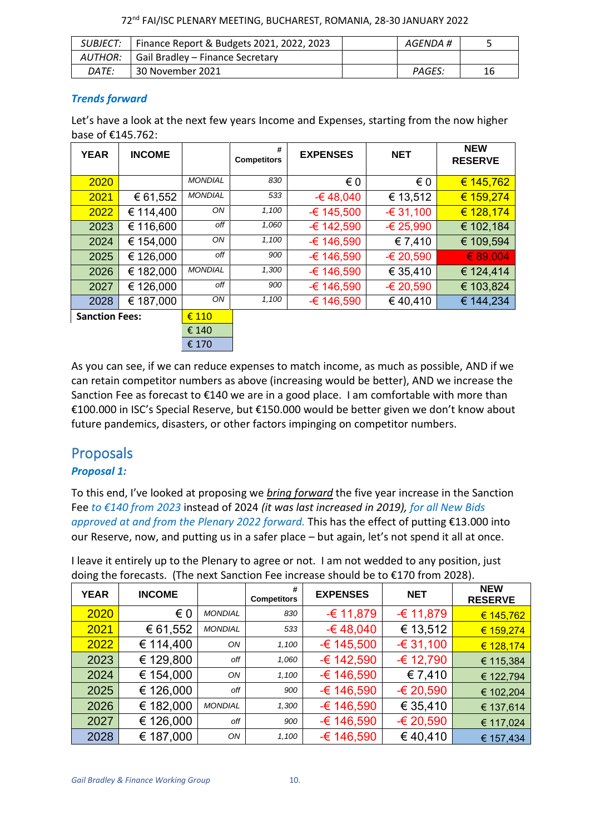72nd FAI/ISC PLENARY MEETING, BUCHAREST, ROMANIA, 28-30 JANUARY 2022

|              | SUBJECT:   Finance Report & Budgets 2021, 2022, 2023 | AGENDA # |    |
|--------------|------------------------------------------------------|----------|----|
|              | AUTHOR:   Gail Bradley – Finance Secretary           |          |    |
| <i>DATE:</i> | 30 November 2021                                     | PAGES:   | 16 |

### *Trends forward*

Let's have a look at the next few years Income and Expenses, starting from the now higher base of €145.762:

| <b>YEAR</b>           | <b>INCOME</b> |                | #<br><b>Competitors</b> | <b>EXPENSES</b> | <b>NET</b> | <b>NEW</b><br><b>RESERVE</b> |
|-----------------------|---------------|----------------|-------------------------|-----------------|------------|------------------------------|
| 2020                  |               | <b>MONDIAL</b> | 830                     | € 0             | € 0        | € 145,762                    |
| 2021                  | € 61,552      | <b>MONDIAL</b> | 533                     | $-648,040$      | € 13,512   | € 159,274                    |
| 2022                  | € 114,400     | ON             | 1,100                   | $-6$ 145,500    | $-631,100$ | € 128,174                    |
| 2023                  | € 116,600     | off            | 1,060                   | -€ 142,590      | $-625,990$ | € 102,184                    |
| 2024                  | € 154,000     | ON             | 1,100                   | -€ 146,590      | € 7,410    | € 109,594                    |
| 2025                  | 126,000<br>€  | off            | 900                     | -€ 146,590      | -€ 20,590  | € 89,004                     |
| 2026                  | € 182,000     | <b>MONDIAL</b> | 1,300                   | -€ 146,590      | € 35,410   | € 124,414                    |
| 2027                  | € 126,000     | off            | 900                     | -€ 146,590      | -€ 20,590  | € 103,824                    |
| 2028                  | € 187,000     | ON             | 1,100                   | -€ 146,590      | €40,410    | € 144,234                    |
| <b>Sanction Fees:</b> |               | $\epsilon$ 110 |                         |                 |            |                              |
|                       |               | € 140          |                         |                 |            |                              |

As you can see, if we can reduce expenses to match income, as much as possible, AND if we can retain competitor numbers as above (increasing would be better), AND we increase the Sanction Fee as forecast to  $£140$  we are in a good place. I am comfortable with more than €100.000 in ISC's Special Reserve, but €150.000 would be better given we don't know about future pandemics, disasters, or other factors impinging on competitor numbers.

€ 170

# <span id="page-9-0"></span>Proposals

### *Proposal 1:*

To this end, I've looked at proposing we *bring forward* the five year increase in the Sanction Fee *to €140 from 2023* instead of 2024 *(it was last increased in 2019), for all New Bids approved at and from the Plenary 2022 forward.* This has the effect of putting €13.000 into our Reserve, now, and putting us in a safer place – but again, let's not spend it all at once.

| <b>YEAR</b> | <b>INCOME</b>                                                                                |  | $\frac{\texttt{#}}{\texttt{Commutitor}}$ | <b>EXPENSES</b> | <b>NET</b> | <b>NEW</b><br><b>BEAEBUE</b> |  |
|-------------|----------------------------------------------------------------------------------------------|--|------------------------------------------|-----------------|------------|------------------------------|--|
|             | doing the forecasts. (The next Sanction Fee increase should be to €170 from 2028).           |  |                                          |                 |            |                              |  |
|             | I leave it entirely up to the Plenary to agree or not. I am not wedded to any position, just |  |                                          |                 |            |                              |  |

| <b>YEAR</b> | <b>INCOME</b> |                | #<br><b>Competitors</b> | <b>EXPENSES</b> | <b>NET</b>  | <b>NEW</b><br><b>RESERVE</b> |
|-------------|---------------|----------------|-------------------------|-----------------|-------------|------------------------------|
| 2020        | € 0           | <b>MONDIAL</b> | 830                     | $-6$ 11,879     | -€ 11,879   | € 145,762                    |
| 2021        | € 61,552      | <b>MONDIAL</b> | 533                     | $-648,040$      | € 13,512    | € 159,274                    |
| 2022        | € 114,400     | ON             | 1,100                   | $-6$ 145,500    | $-631,100$  | € 128,174                    |
| 2023        | € 129,800     | off            | 1,060                   | $-6$ 142,590    | $-6$ 12,790 | € 115,384                    |
| 2024        | € 154,000     | ON             | 1,100                   | $-6$ 146,590    | € 7,410     | € 122,794                    |
| 2025        | € 126,000     | off            | 900                     | $-6$ 146,590    | -€ 20,590   | € 102,204                    |
| 2026        | € 182,000     | <b>MONDIAL</b> | 1,300                   | $-6$ 146,590    | € 35,410    | € 137,614                    |
| 2027        | € 126,000     | off            | 900                     | $-6$ 146,590    | -€ 20,590   | € 117,024                    |
| 2028        | € 187,000     | ON             | 1,100                   | $-6$ 146,590    | €40,410     | € 157,434                    |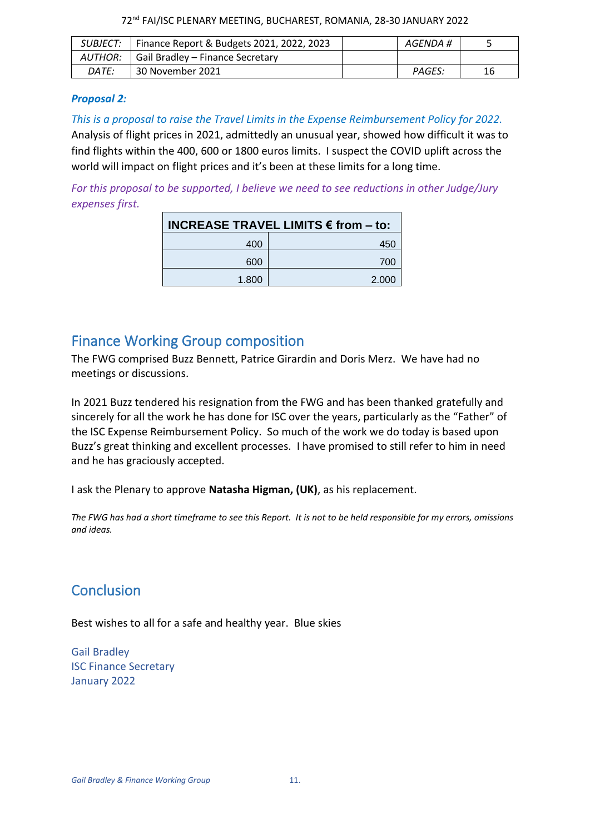| 72 <sup>nd</sup> FAI/ISC PLENARY MEETING, BUCHAREST, ROMANIA, 28-30 JANUARY 2022 |  |  |  |
|----------------------------------------------------------------------------------|--|--|--|
|----------------------------------------------------------------------------------|--|--|--|

| SUBJECT: ۱   | Finance Report & Budgets 2021, 2022, 2023 | AGENDA # |    |
|--------------|-------------------------------------------|----------|----|
| AUTHOR: I    | Gail Bradley – Finance Secretary          |          |    |
| <i>DATE:</i> | 30 November 2021                          | PAGES:   | 16 |

#### *Proposal 2:*

*This is a proposal to raise the Travel Limits in the Expense Reimbursement Policy for 2022.*  Analysis of flight prices in 2021, admittedly an unusual year, showed how difficult it was to find flights within the 400, 600 or 1800 euros limits. I suspect the COVID uplift across the world will impact on flight prices and it's been at these limits for a long time.

*For this proposal to be supported, I believe we need to see reductions in other Judge/Jury expenses first.*

| <b>INCREASE TRAVEL LIMITS € from - to:</b> |       |  |  |  |
|--------------------------------------------|-------|--|--|--|
| 400                                        | 45    |  |  |  |
| 600                                        | 700   |  |  |  |
| 1.800                                      | 2.000 |  |  |  |

## <span id="page-10-0"></span>Finance Working Group composition

The FWG comprised Buzz Bennett, Patrice Girardin and Doris Merz. We have had no meetings or discussions.

In 2021 Buzz tendered his resignation from the FWG and has been thanked gratefully and sincerely for all the work he has done for ISC over the years, particularly as the "Father" of the ISC Expense Reimbursement Policy. So much of the work we do today is based upon Buzz's great thinking and excellent processes. I have promised to still refer to him in need and he has graciously accepted.

I ask the Plenary to approve **Natasha Higman, (UK)**, as his replacement.

*The FWG has had a short timeframe to see this Report. It is not to be held responsible for my errors, omissions and ideas.*

# **Conclusion**

Best wishes to all for a safe and healthy year. Blue skies

Gail Bradley ISC Finance Secretary January 2022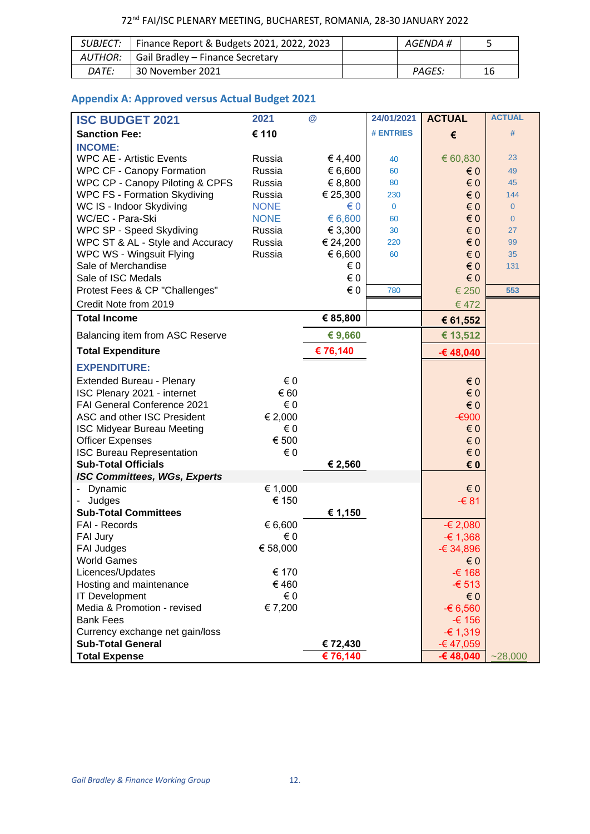### 72nd FAI/ISC PLENARY MEETING, BUCHAREST, ROMANIA, 28-30 JANUARY 2022

|              | SUBJECT:   Finance Report & Budgets 2021, 2022, 2023 | AGENDA # |    |
|--------------|------------------------------------------------------|----------|----|
|              | AUTHOR:   Gail Bradley – Finance Secretary           |          |    |
| <i>DATE:</i> | 30 November 2021                                     | PAGES:   | 16 |

### <span id="page-11-0"></span>**Appendix A: Approved versus Actual Budget 2021**

| <b>ISC BUDGET 2021</b>              | 2021         | $\circleda$ | 24/01/2021       | <b>ACTUAL</b>           | <b>ACTUAL</b>  |
|-------------------------------------|--------------|-------------|------------------|-------------------------|----------------|
| <b>Sanction Fee:</b>                | € 110        |             | <b># ENTRIES</b> | €                       | #              |
| <b>INCOME:</b>                      |              |             |                  |                         |                |
| <b>WPC AE - Artistic Events</b>     | Russia       | €4,400      | 40               | € 60,830                | 23             |
| <b>WPC CF - Canopy Formation</b>    | Russia       | € 6,600     | 60               | $\epsilon$ 0            | 49             |
| WPC CP - Canopy Piloting & CPFS     | Russia       | € 8,800     | 80               | $\epsilon$ 0            | 45             |
| <b>WPC FS - Formation Skydiving</b> | Russia       | € 25,300    | 230              | $\epsilon$ 0            | 144            |
| WC IS - Indoor Skydiving            | <b>NONE</b>  | $\in 0$     | $\mathbf{0}$     | $\epsilon$ <sub>0</sub> | $\overline{0}$ |
| WC/EC - Para-Ski                    | <b>NONE</b>  | € 6,600     | 60               | $\epsilon$ 0            | $\overline{0}$ |
| WPC SP - Speed Skydiving            | Russia       | € 3,300     | 30               | $\epsilon$ 0            | 27             |
| WPC ST & AL - Style and Accuracy    | Russia       | € 24,200    | 220              | $\epsilon$ 0            | 99             |
| WPC WS - Wingsuit Flying            | Russia       | € 6,600     | 60               | $\epsilon$ 0            | 35             |
| Sale of Merchandise                 |              | € 0         |                  | $\epsilon$ 0            | 131            |
| Sale of ISC Medals                  |              | € 0         |                  | $\epsilon$ 0            |                |
| Protest Fees & CP "Challenges"      |              | $\in 0$     | 780              | € 250                   | 553            |
| Credit Note from 2019               |              |             |                  | €472                    |                |
| <b>Total Income</b>                 |              | € 85,800    |                  | € 61,552                |                |
| Balancing item from ASC Reserve     |              | €9,660      |                  | € 13,512                |                |
| <b>Total Expenditure</b>            |              | € 76,140    |                  | -€48,040                |                |
| <b>EXPENDITURE:</b>                 |              |             |                  |                         |                |
| <b>Extended Bureau - Plenary</b>    | € 0          |             |                  | $\epsilon$ 0            |                |
| ISC Plenary 2021 - internet         | € 60         |             |                  | $\epsilon$ 0            |                |
| FAI General Conference 2021         | $\epsilon$ 0 |             |                  | $\epsilon$ 0            |                |
| ASC and other ISC President         | € 2,000      |             |                  | -€900                   |                |
| <b>ISC Midyear Bureau Meeting</b>   | € 0          |             |                  | $\epsilon$ 0            |                |
| <b>Officer Expenses</b>             | € 500        |             |                  | $\epsilon$ 0            |                |
| <b>ISC Bureau Representation</b>    | € 0          |             |                  | $\epsilon$ 0            |                |
| <b>Sub-Total Officials</b>          |              | € 2,560     |                  | € 0                     |                |
| <b>ISC Committees, WGs, Experts</b> |              |             |                  |                         |                |
| Dynamic                             | € 1,000      |             |                  | $\epsilon$ 0            |                |
| Judges                              | € 150        |             |                  | -€ 81                   |                |
| <b>Sub-Total Committees</b>         |              | € 1,150     |                  |                         |                |
| FAI - Records                       | € 6,600      |             |                  | -€ 2,080                |                |
| FAI Jury                            | € 0          |             |                  | $-61,368$               |                |
| FAI Judges                          | € 58,000     |             |                  | $-6,34,896$             |                |
| <b>World Games</b>                  |              |             |                  | $\epsilon$ 0            |                |
| Licences/Updates                    | € 170        |             |                  | -€ 168                  |                |
| Hosting and maintenance             | €460         |             |                  | $-6513$                 |                |
| <b>IT Development</b>               | €0           |             |                  | $\epsilon$ 0            |                |
| Media & Promotion - revised         | € 7,200      |             |                  | $-6,560$                |                |
| <b>Bank Fees</b>                    |              |             |                  | -€ 156                  |                |
| Currency exchange net gain/loss     |              |             |                  | $-61,319$               |                |
| <b>Sub-Total General</b>            |              | € 72,430    |                  | $-€ 47,059$             |                |
| <b>Total Expense</b>                |              | € 76,140    |                  | $-648,040$              | $-28,000$      |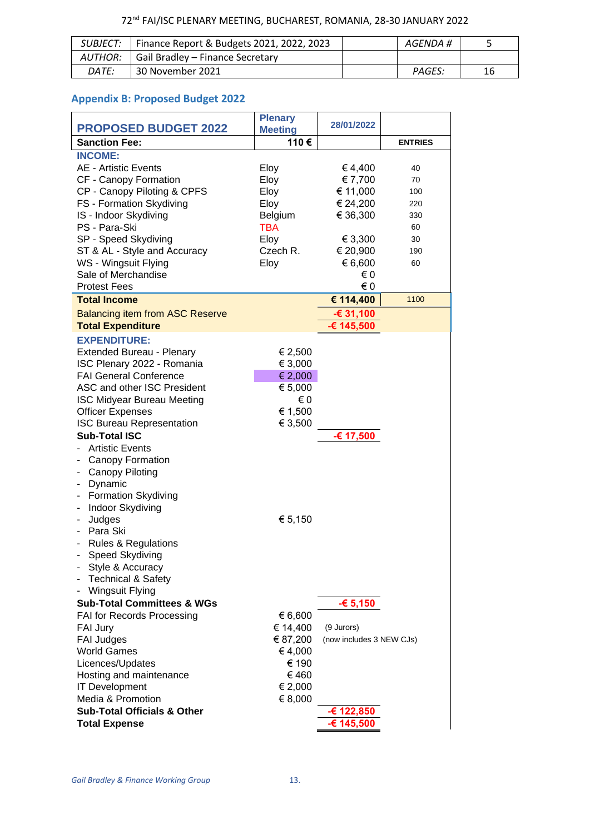|              | SUBJECT:   Finance Report & Budgets 2021, 2022, 2023 | AGENDA # |    |
|--------------|------------------------------------------------------|----------|----|
|              | AUTHOR:   Gail Bradley – Finance Secretary           |          |    |
| <i>DATE:</i> | 30 November 2021                                     | PAGES:   | 16 |

### **Appendix B: Proposed Budget 2022**

| <b>PROPOSED BUDGET 2022</b>            | <b>Plenary</b><br><b>Meeting</b> | 28/01/2022               |                |
|----------------------------------------|----------------------------------|--------------------------|----------------|
| <b>Sanction Fee:</b>                   | 110€                             |                          | <b>ENTRIES</b> |
| <b>INCOME:</b>                         |                                  |                          |                |
| <b>AE - Artistic Events</b>            | Eloy                             | € 4,400                  | 40             |
| CF - Canopy Formation                  | Eloy                             | € 7,700                  | 70             |
| CP - Canopy Piloting & CPFS            | Eloy                             | € 11,000                 | 100            |
| FS - Formation Skydiving               | Eloy                             | € 24,200                 | 220            |
| IS - Indoor Skydiving                  | Belgium                          | € 36,300                 | 330            |
| PS - Para-Ski                          | <b>TBA</b>                       |                          | 60             |
| SP - Speed Skydiving                   | Eloy                             | € 3,300                  | 30             |
| ST & AL - Style and Accuracy           | Czech R.                         | € 20,900                 | 190            |
| WS - Wingsuit Flying                   | Eloy                             | € 6,600                  | 60             |
| Sale of Merchandise                    |                                  | € 0                      |                |
| <b>Protest Fees</b>                    |                                  | € 0                      |                |
| <b>Total Income</b>                    |                                  | € 114,400                | 1100           |
| <b>Balancing item from ASC Reserve</b> |                                  | -€ 31,100                |                |
| <b>Total Expenditure</b>               |                                  | € 145,500                |                |
| <b>EXPENDITURE:</b>                    |                                  |                          |                |
| <b>Extended Bureau - Plenary</b>       | € 2,500                          |                          |                |
| ISC Plenary 2022 - Romania             | € 3,000                          |                          |                |
| <b>FAI General Conference</b>          | € 2,000                          |                          |                |
| ASC and other ISC President            | € 5,000                          |                          |                |
| <b>ISC Midyear Bureau Meeting</b>      | €0                               |                          |                |
| <b>Officer Expenses</b>                | € 1,500                          |                          |                |
| <b>ISC Bureau Representation</b>       | € 3,500                          |                          |                |
| <b>Sub-Total ISC</b>                   |                                  | -€ 17,500                |                |
| <b>Artistic Events</b>                 |                                  |                          |                |
| Canopy Formation                       |                                  |                          |                |
| Canopy Piloting                        |                                  |                          |                |
| Dynamic                                |                                  |                          |                |
| <b>Formation Skydiving</b>             |                                  |                          |                |
| Indoor Skydiving                       |                                  |                          |                |
| Judges                                 | € 5,150                          |                          |                |
| Para Ski                               |                                  |                          |                |
| <b>Rules &amp; Regulations</b>         |                                  |                          |                |
| Speed Skydiving                        |                                  |                          |                |
| Style & Accuracy                       |                                  |                          |                |
| <b>Technical &amp; Safety</b>          |                                  |                          |                |
| <b>Wingsuit Flying</b>                 |                                  |                          |                |
| <b>Sub-Total Committees &amp; WGs</b>  |                                  | $-6,150$                 |                |
| FAI for Records Processing             | € 6,600                          |                          |                |
| <b>FAI Jury</b>                        | € 14,400                         | (9 Jurors)               |                |
| <b>FAI Judges</b>                      | € 87,200                         | (now includes 3 NEW CJs) |                |
| <b>World Games</b>                     | €4,000                           |                          |                |
| Licences/Updates                       | € 190                            |                          |                |
| Hosting and maintenance                | €460                             |                          |                |
| <b>IT Development</b>                  | € 2,000                          |                          |                |
| Media & Promotion                      | € 8,000                          |                          |                |
| <b>Sub-Total Officials &amp; Other</b> |                                  | € 122,850                |                |
| <b>Total Expense</b>                   |                                  | -€ 145,500               |                |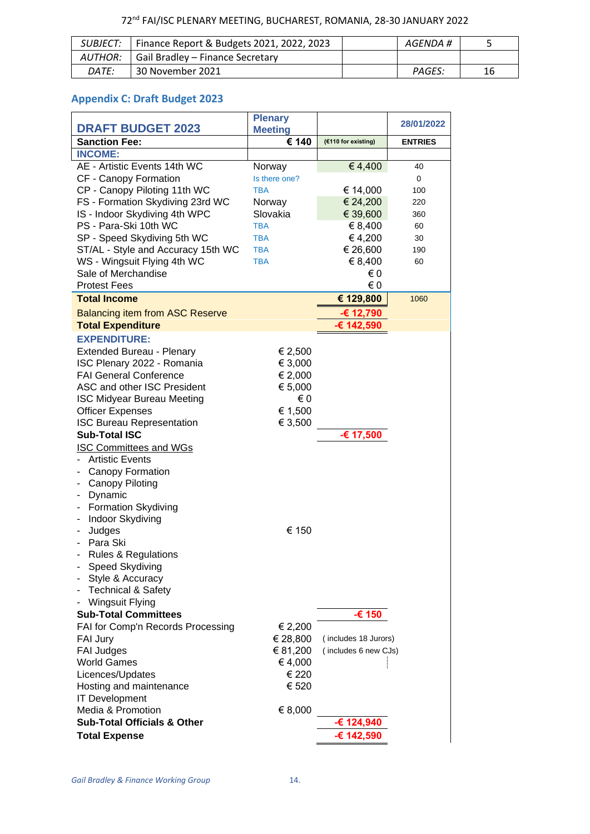|       | SUBJECT:   Finance Report & Budgets 2021, 2022, 2023 | AGENDA # |    |
|-------|------------------------------------------------------|----------|----|
|       | AUTHOR:   Gail Bradley – Finance Secretary           |          |    |
| DATE: | 30 November 2021                                     | PAGES:   | 16 |

## **Appendix C: Draft Budget 2023**

|                                        | <b>Plenary</b> |                      | 28/01/2022     |
|----------------------------------------|----------------|----------------------|----------------|
| <b>DRAFT BUDGET 2023</b>               | <b>Meeting</b> |                      |                |
| <b>Sanction Fee:</b>                   | € 140          | (€110 for existing)  | <b>ENTRIES</b> |
| <b>INCOME:</b>                         |                |                      |                |
| AE - Artistic Events 14th WC           | Norway         | € 4,400              | 40             |
| CF - Canopy Formation                  | Is there one?  |                      | 0              |
| CP - Canopy Piloting 11th WC           | <b>TBA</b>     | € 14,000             | 100            |
| FS - Formation Skydiving 23rd WC       | Norway         | € 24,200             | 220            |
| IS - Indoor Skydiving 4th WPC          | Slovakia       | € 39,600             | 360            |
| PS - Para-Ski 10th WC                  | <b>TBA</b>     | € 8,400              | 60             |
| SP - Speed Skydiving 5th WC            | <b>TBA</b>     | €4,200               | 30             |
| ST/AL - Style and Accuracy 15th WC     | <b>TBA</b>     | € 26,600             | 190            |
| WS - Wingsuit Flying 4th WC            | <b>TBA</b>     | € 8,400              | 60             |
| Sale of Merchandise                    |                | €0                   |                |
| <b>Protest Fees</b>                    |                | €0                   |                |
| <b>Total Income</b>                    |                | € 129,800            | 1060           |
| <b>Balancing item from ASC Reserve</b> |                | -€ 12,790            |                |
| <b>Total Expenditure</b>               |                | € 142,590            |                |
| <b>EXPENDITURE:</b>                    |                |                      |                |
| Extended Bureau - Plenary              | € 2,500        |                      |                |
| ISC Plenary 2022 - Romania             | € 3,000        |                      |                |
| <b>FAI General Conference</b>          | € 2,000        |                      |                |
| ASC and other ISC President            | € 5,000        |                      |                |
| <b>ISC Midyear Bureau Meeting</b>      | € 0            |                      |                |
| <b>Officer Expenses</b>                | € 1,500        |                      |                |
| <b>ISC Bureau Representation</b>       | € 3,500        |                      |                |
| <b>Sub-Total ISC</b>                   |                | -€ 17,500            |                |
| <b>ISC Committees and WGs</b>          |                |                      |                |
| <b>Artistic Events</b>                 |                |                      |                |
| Canopy Formation                       |                |                      |                |
| Canopy Piloting                        |                |                      |                |
| Dynamic                                |                |                      |                |
| <b>Formation Skydiving</b>             |                |                      |                |
| Indoor Skydiving                       |                |                      |                |
| Judges                                 | € 150          |                      |                |
| Para Ski                               |                |                      |                |
| Rules & Regulations                    |                |                      |                |
| Speed Skydiving                        |                |                      |                |
| Style & Accuracy                       |                |                      |                |
| <b>Technical &amp; Safety</b>          |                |                      |                |
| <b>Wingsuit Flying</b>                 |                |                      |                |
| <b>Sub-Total Committees</b>            |                | -€ 150               |                |
| FAI for Comp'n Records Processing      | € 2,200        |                      |                |
| <b>FAI Jury</b>                        | € 28,800       | (includes 18 Jurors) |                |
| <b>FAI Judges</b>                      | € 81,200       | (includes 6 new CJs) |                |
| <b>World Games</b>                     | €4,000         |                      |                |
| Licences/Updates                       | € 220          |                      |                |
| Hosting and maintenance                | € 520          |                      |                |
| <b>IT Development</b>                  |                |                      |                |
| Media & Promotion                      | € 8,000        |                      |                |
| <b>Sub-Total Officials &amp; Other</b> |                | -€ 124,940           |                |
| <b>Total Expense</b>                   |                | -€ 142,590           |                |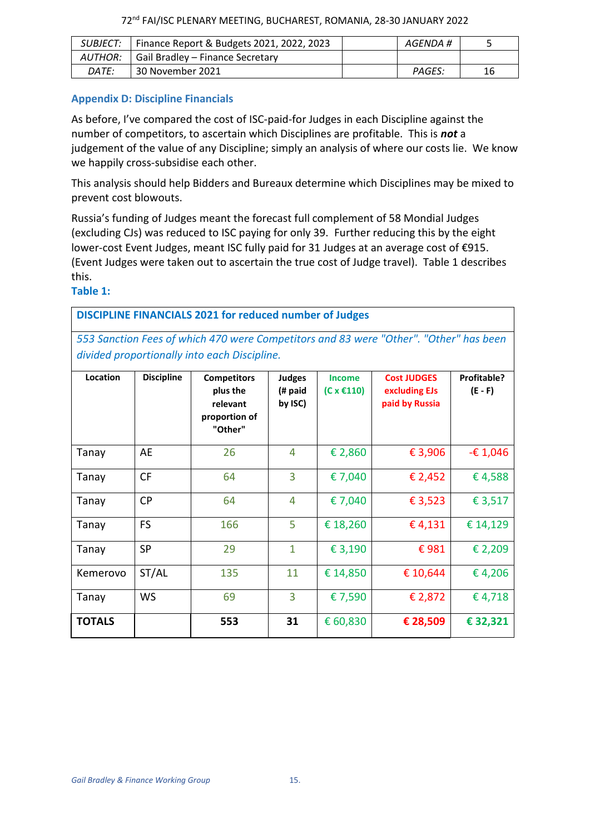| SUBJECT: I   | Finance Report & Budgets 2021, 2022, 2023 | AGENDA #      |    |
|--------------|-------------------------------------------|---------------|----|
| AUTHOR:      | Gail Bradley - Finance Secretary          |               |    |
| <i>DATE:</i> | 30 November 2021                          | <b>PAGES:</b> | 16 |

#### **Appendix D: Discipline Financials**

As before, I've compared the cost of ISC-paid-for Judges in each Discipline against the number of competitors, to ascertain which Disciplines are profitable. This is *not* a judgement of the value of any Discipline; simply an analysis of where our costs lie. We know we happily cross-subsidise each other.

This analysis should help Bidders and Bureaux determine which Disciplines may be mixed to prevent cost blowouts.

Russia's funding of Judges meant the forecast full complement of 58 Mondial Judges (excluding CJs) was reduced to ISC paying for only 39. Further reducing this by the eight lower-cost Event Judges, meant ISC fully paid for 31 Judges at an average cost of €915. (Event Judges were taken out to ascertain the true cost of Judge travel). Table 1 describes this.

#### **Table 1:**

**DISCIPLINE FINANCIALS 2021 for reduced number of Judges**

*553 Sanction Fees of which 470 were Competitors and 83 were "Other". "Other" has been divided proportionally into each Discipline.*

| Location      | <b>Discipline</b> | <b>Competitors</b><br>plus the<br>relevant<br>proportion of<br>"Other" | Judges<br>(# paid<br>by ISC) | <b>Income</b><br>(C x €110) | <b>Cost JUDGES</b><br>excluding EJs<br>paid by Russia | Profitable?<br>$(E - F)$ |
|---------------|-------------------|------------------------------------------------------------------------|------------------------------|-----------------------------|-------------------------------------------------------|--------------------------|
| Tanay         | AE                | 26                                                                     | 4                            | € 2,860                     | € 3,906                                               | $-£1,046$                |
| Tanay         | <b>CF</b>         | 64                                                                     | $\overline{3}$               | €7,040                      | € 2,452                                               | €4,588                   |
| Tanay         | <b>CP</b>         | 64                                                                     | 4                            | € 7,040                     | €3,523                                                | € 3,517                  |
| Tanay         | <b>FS</b>         | 166                                                                    | 5                            | € 18,260                    | €4,131                                                | € 14,129                 |
| Tanay         | <b>SP</b>         | 29                                                                     | $\mathbf{1}$                 | € 3,190                     | €981                                                  | € 2,209                  |
| Kemerovo      | ST/AL             | 135                                                                    | 11                           | € 14,850                    | € 10,644                                              | €4,206                   |
| Tanay         | <b>WS</b>         | 69                                                                     | $\overline{3}$               | € 7,590                     | € 2,872                                               | €4,718                   |
| <b>TOTALS</b> |                   | 553                                                                    | 31                           | € 60,830                    | € 28,509                                              | € 32,321                 |